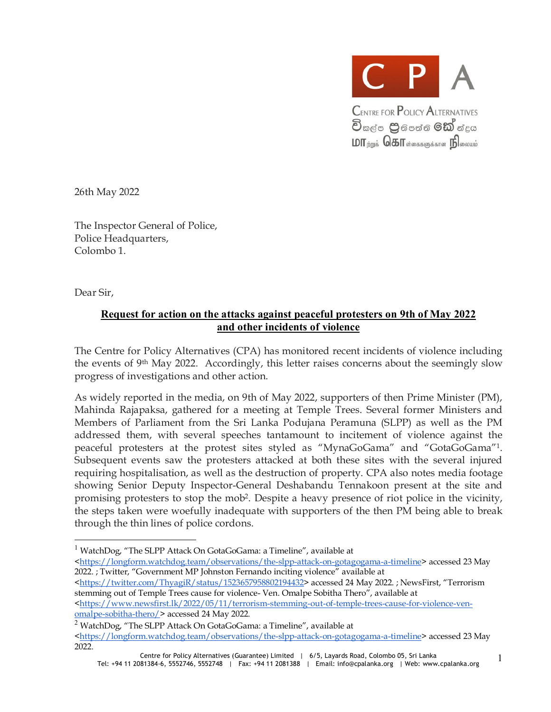

26th May 2022

The Inspector General of Police, Police Headquarters, Colombo 1.

Dear Sir,

1

### **Request for action on the attacks against peaceful protesters on 9th of May 2022 and other incidents of violence**

The Centre for Policy Alternatives (CPA) has monitored recent incidents of violence including the events of 9th May 2022. Accordingly, this letter raises concerns about the seemingly slow progress of investigations and other action.

As widely reported in the media, on 9th of May 2022, supporters of then Prime Minister (PM), Mahinda Rajapaksa, gathered for a meeting at Temple Trees. Several former Ministers and Members of Parliament from the Sri Lanka Podujana Peramuna (SLPP) as well as the PM addressed them, with several speeches tantamount to incitement of violence against the peaceful protesters at the protest sites styled as "MynaGoGama" and "GotaGoGama"<sup>1</sup> . Subsequent events saw the protesters attacked at both these sites with the several injured requiring hospitalisation, as well as the destruction of property. CPA also notes media footage showing Senior Deputy Inspector-General Deshabandu Tennakoon present at the site and promising protesters to stop the mob<sup>2</sup>. Despite a heavy presence of riot police in the vicinity, the steps taken were woefully inadequate with supporters of the then PM being able to break through the thin lines of police cordons.

<<https://longform.watchdog.team/observations/the-slpp-attack-on-gotagogama-a-timeline>> accessed 23 May 2022. ; Twitter, "Government MP Johnston Fernando inciting violence" available at

<[https://twitter.com/ThyagiR/status/1523657958802194432>](https://twitter.com/ThyagiR/status/1523657958802194432) accessed 24 May 2022. ; NewsFirst, "Terrorism stemming out of Temple Trees cause for violence- Ven. Omalpe Sobitha Thero", available at

<[https://www.newsfirst.lk/2022/05/11/terrorism-stemming-out-of-temple-trees-cause-for-violence-ven](https://www.newsfirst.lk/2022/05/11/terrorism-stemming-out-of-temple-trees-cause-for-violence-ven-)omalpe-sobitha-thero/> accessed 24 May 2022.

<sup>2</sup> WatchDog, "The SLPP Attack On GotaGoGama: a Timeline", available at <<https://longform.watchdog.team/observations/the-slpp-attack-on-gotagogama-a-timeline>> accessed 23 May 2022.

<sup>&</sup>lt;sup>1</sup> WatchDog, "The SLPP Attack On GotaGoGama: a Timeline", available at

Centre for Policy Alternatives (Guarantee) Limited | 6/5, Layards Road, Colombo 05, Sri Lanka Tel: +94 11 2081384-6, 5552746, 5552748 | Fax: +94 11 2081388 | Email: [info@cpalanka.org](mailto:info@cpalanka.org) | Web: [www.cpalanka.org](http://www.cpalanka.org) 1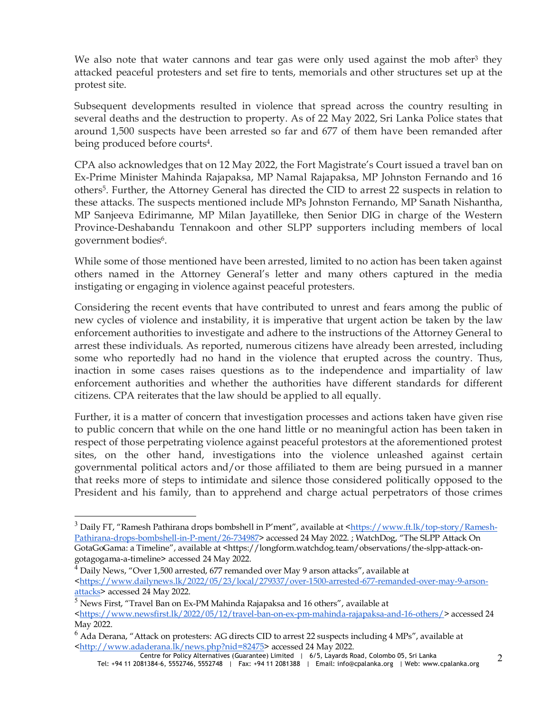We also note that water cannons and tear gas were only used against the mob after<sup>3</sup> they attacked peaceful protesters and set fire to tents, memorials and other structures set up at the protest site.

Subsequent developments resulted in violence that spread across the country resulting in several deaths and the destruction to property. As of 22 May 2022, Sri Lanka Police states that around 1,500 suspects have been arrested so far and 677 of them have been remanded after being produced before courts<sup>4</sup> .

CPA also acknowledges that on 12 May 2022, the Fort Magistrate's Court issued a travel ban on Ex-Prime Minister Mahinda Rajapaksa, MP Namal Rajapaksa, MP Johnston Fernando and 16 others<sup>5</sup> . Further, the Attorney General has directed the CID to arrest 22 suspects in relation to these attacks. The suspects mentioned include MPs Johnston Fernando, MP Sanath Nishantha, MP Sanjeeva Edirimanne, MP Milan Jayatilleke, then Senior DIG in charge of the Western Province-Deshabandu Tennakoon and other SLPP supporters including members of local government bodies<sup>6</sup>.

While some of those mentioned have been arrested, limited to no action has been taken against others named in the Attorney General's letter and many others captured in the media instigating or engaging in violence against peaceful protesters.

Considering the recent events that have contributed to unrest and fears among the public of new cycles of violence and instability, it is imperative that urgent action be taken by the law enforcement authorities to investigate and adhere to the instructions of the Attorney General to arrest these individuals. As reported, numerous citizens have already been arrested, including some who reportedly had no hand in the violence that erupted across the country. Thus, inaction in some cases raises questions as to the independence and impartiality of law enforcement authorities and whether the authorities have different standards for different citizens. CPA reiterates that the law should be applied to all equally.

Further, it is a matter of concern that investigation processes and actions taken have given rise to public concern that while on the one hand little or no meaningful action has been taken in respect of those perpetrating violence against peaceful protestors at the aforementioned protest sites, on the other hand, investigations into the violence unleashed against certain governmental political actors and/or those affiliated to them are being pursued in a manner that reeks more of steps to intimidate and silence those considered politically opposed to the President and his family, than to apprehend and charge actual perpetrators of those crimes

-

<sup>&</sup>lt;sup>3</sup> Daily FT, "Ramesh Pathirana drops bombshell in P'ment", available at <<https://www.ft.lk/top-story/Ramesh->Pathirana-drops-bombshell-in-P-ment/26-734987> accessed 24 May 2022. ; WatchDog, "The SLPP Attack On GotaGoGama: a Timeline", available at [<https://longform.watchdog.team/observations/the-slpp-attack-on](https://longform.watchdog.team/observations/the-slpp-attack-on-)gotagogama-a-timeline> accessed 24 May 2022.

<sup>4</sup> Daily News, "Over 1,500 arrested, 677 remanded over May 9 arson attacks", available at <[https://www.dailynews.lk/2022/05/23/local/279337/over-1500-arrested-677-remanded-over-may-9-arson](https://www.dailynews.lk/2022/05/23/local/279337/over-1500-arrested-677-remanded-over-may-9-arson-)attacks> accessed 24 May 2022.

<sup>5</sup> News First, "Travel Ban on Ex-PM Mahinda Rajapaksa and 16 others", available at <<https://www.newsfirst.lk/2022/05/12/travel-ban-on-ex-pm-mahinda-rajapaksa-and-16-others/>> accessed 24 May 2022.

 $^6$  Ada Derana, "Attack on protesters: AG directs CID to arrest 22 suspects including 4 MPs", available at <[http://www.adaderana.lk/news.php?nid=82475>](http://www.adaderana.lk/news.php?nid=82475) accessed 24 May 2022.

Centre for Policy Alternatives (Guarantee) Limited | 6/5, Layards Road, Colombo 05, Sri Lanka Tel: +94 11 2081384-6, 5552746, 5552748 | Fax: +94 11 2081388 | Email: [info@cpalanka.org](mailto:info@cpalanka.org) | Web: [www.cpalanka.org](http://www.cpalanka.org) 2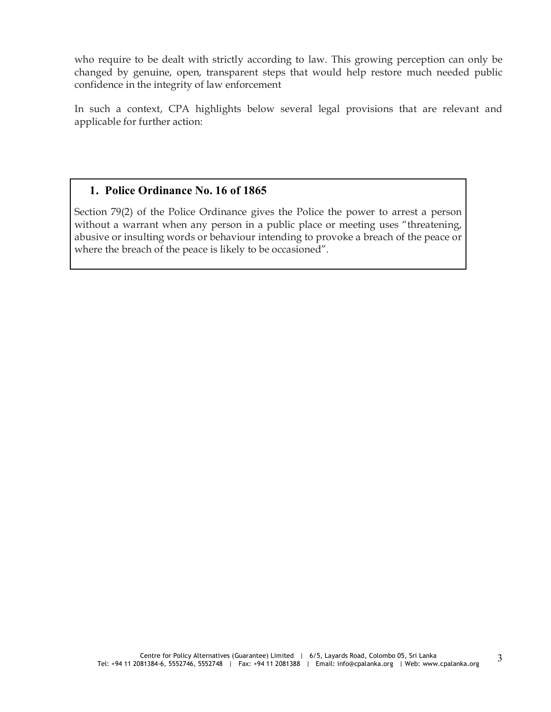who require to be dealt with strictly according to law. This growing perception can only be changed by genuine, open, transparent steps that would help restore much needed public confidence in the integrity of law enforcement

In such a context, CPA highlights below several legal provisions that are relevant and applicable for further action:

## **1. Police Ordinance No. 16 of 1865**

Section 79(2) of the Police Ordinance gives the Police the power to arrest a person without a warrant when any person in a public place or meeting uses "threatening, abusive or insulting words or behaviour intending to provoke a breach of the peace or where the breach of the peace is likely to be occasioned".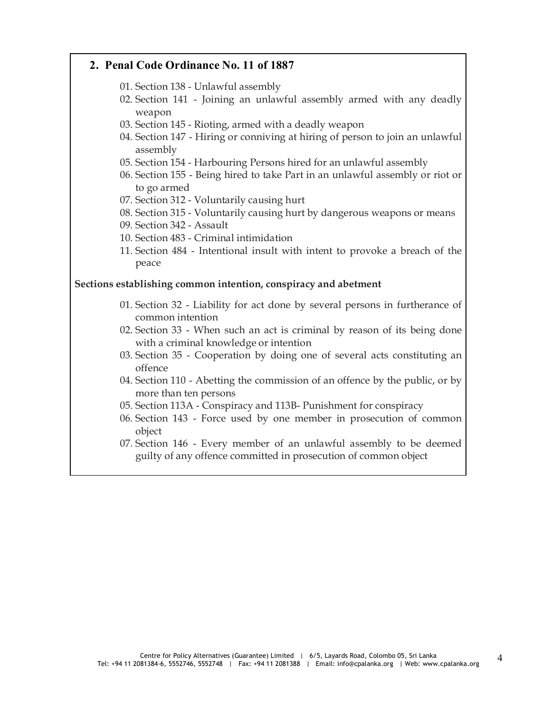### **2. Penal Code Ordinance No. 11 of 1887**

- 01. Section 138 Unlawful assembly
- 02. Section 141 Joining an unlawful assembly armed with any deadly weapon
- 03. Section 145 Rioting, armed with a deadly weapon
- 04. Section 147 Hiring or conniving at hiring of person to join an unlawful assembly
- 05. Section 154 Harbouring Persons hired for an unlawful assembly
- 06. Section 155 Being hired to take Part in an unlawful assembly or riot or to go armed
- 07. Section 312 Voluntarily causing hurt
- 08. Section 315 Voluntarily causing hurt by dangerous weapons or means
- 09. Section 342 Assault
- 10. Section 483 Criminal intimidation
- 11. Section 484 Intentional insult with intent to provoke a breach of the peace

#### **Sections establishing common intention, conspiracy and abetment**

- 01. Section 32 Liability for act done by several persons in furtherance of common intention
- 02. Section 33 When such an act is criminal by reason of its being done with a criminal knowledge or intention
- 03. Section 35 Cooperation by doing one of several acts constituting an offence
- 04. Section 110 Abetting the commission of an offence by the public, or by more than ten persons
- 05. Section 113A Conspiracy and 113B- Punishment for conspiracy
- 06. Section 143 Force used by one member in prosecution of common object
- 07. Section 146 Every member of an unlawful assembly to be deemed guilty of any offence committed in prosecution of common object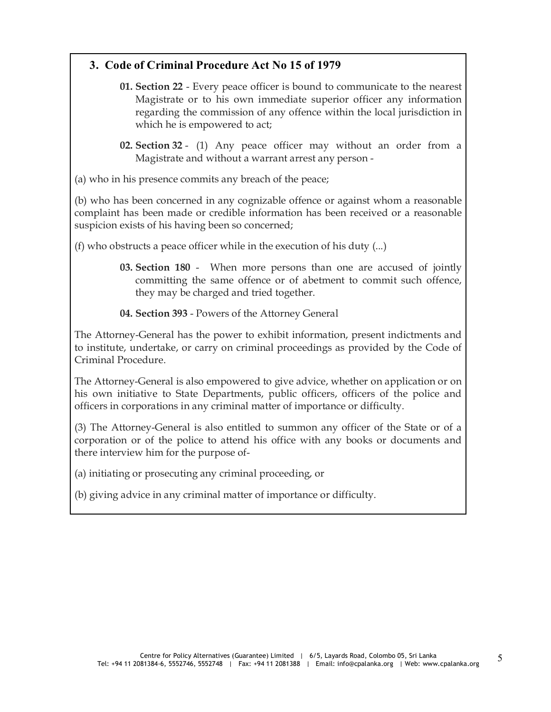## **3. Code of Criminal Procedure Act No 15 of 1979**

- **01. Section 22** Every peace officer is bound to communicate to the nearest Magistrate or to his own immediate superior officer any information regarding the commission of any offence within the local jurisdiction in which he is empowered to act;
- **02. Section 32** (1) Any peace officer may without an order from a Magistrate and without a warrant arrest any person -

(a) who in his presence commits any breach of the peace;

(b) who has been concerned in any cognizable offence or against whom a reasonable complaint has been made or credible information has been received or a reasonable suspicion exists of his having been so concerned;

(f) who obstructs a peace officer while in the execution of his duty (...)

- **03. Section 180** When more persons than one are accused of jointly committing the same offence or of abetment to commit such offence, they may be charged and tried together.
- **04. Section 393** Powers of the Attorney General

The Attorney-General has the power to exhibit information, present indictments and to institute, undertake, or carry on criminal proceedings as provided by the Code of Criminal Procedure.

The Attorney-General is also empowered to give advice, whether on application or on his own initiative to State Departments, public officers, officers of the police and officers in corporations in any criminal matter of importance or difficulty.

(3) The Attorney-General is also entitled to summon any officer of the State or of a corporation or of the police to attend his office with any books or documents and there interview him for the purpose of-

(a) initiating or prosecuting any criminal proceeding, or

(b) giving advice in any criminal matter of importance or difficulty.